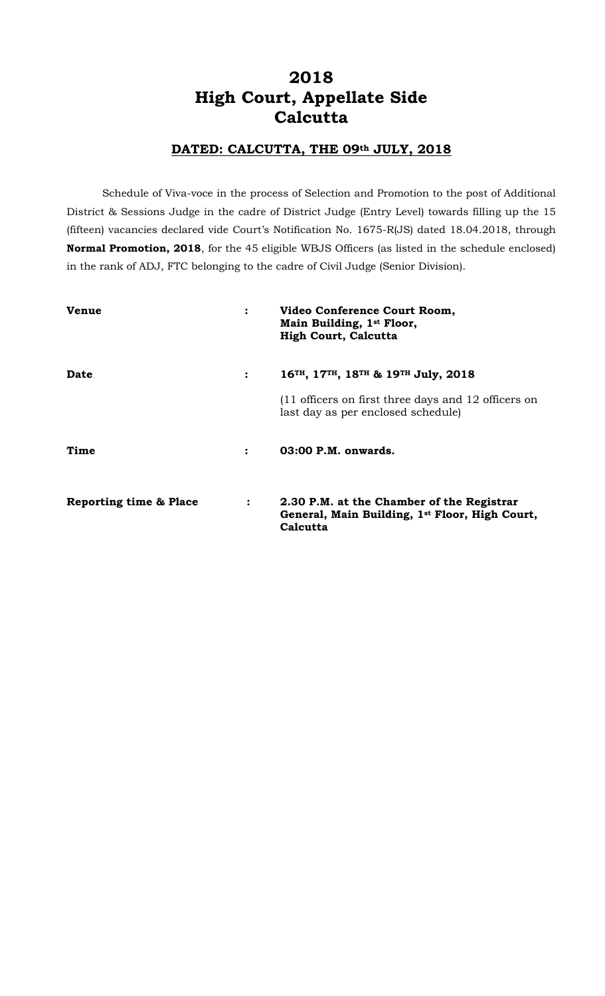# **2018 High Court, Appellate Side Calcutta**

## **DATED: CALCUTTA, THE 09th JULY, 2018**

Schedule of Viva-voce in the process of Selection and Promotion to the post of Additional District & Sessions Judge in the cadre of District Judge (Entry Level) towards filling up the 15 (fifteen) vacancies declared vide Court's Notification No. 1675-R(JS) dated 18.04.2018, through **Normal Promotion, 2018**, for the 45 eligible WBJS Officers (as listed in the schedule enclosed) in the rank of ADJ, FTC belonging to the cadre of Civil Judge (Senior Division).

| <b>Venue</b>           | $\ddot{\cdot}$ | Video Conference Court Room,<br>Main Building, 1 <sup>st</sup> Floor,<br><b>High Court, Calcutta</b>                |
|------------------------|----------------|---------------------------------------------------------------------------------------------------------------------|
| <b>Date</b>            | $\ddot{\cdot}$ | 16 <sup>TH</sup> , 17 <sup>TH</sup> , 18 <sup>TH</sup> & 19 <sup>TH</sup> July, 2018                                |
|                        |                | (11 officers on first three days and 12 officers on<br>last day as per enclosed schedule)                           |
| Time                   | $\ddot{\cdot}$ | 03:00 P.M. onwards.                                                                                                 |
| Reporting time & Place | $\ddot{\cdot}$ | 2.30 P.M. at the Chamber of the Registrar<br>General, Main Building, 1 <sup>st</sup> Floor, High Court,<br>Calcutta |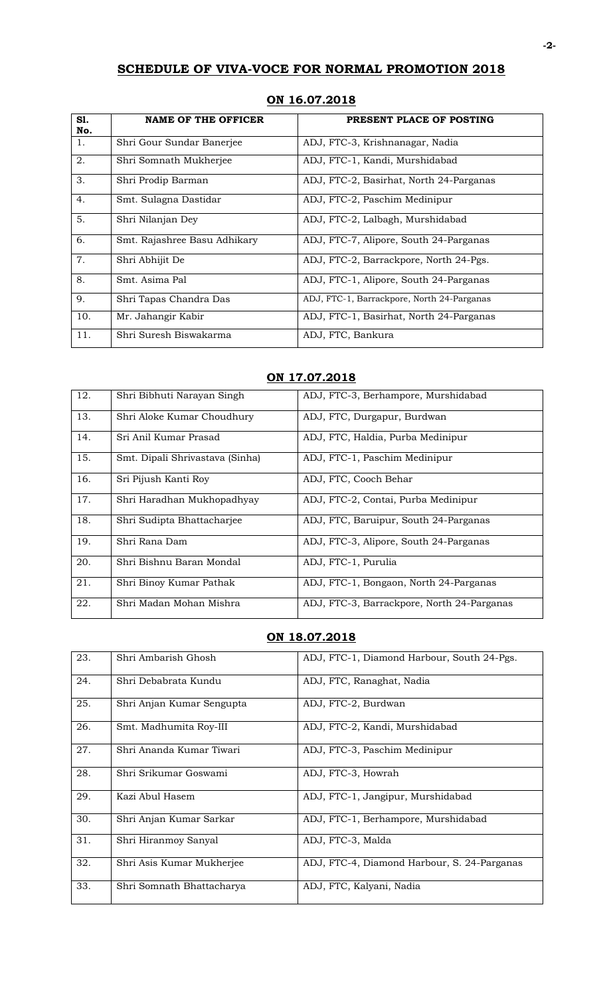# **SCHEDULE OF VIVA-VOCE FOR NORMAL PROMOTION 2018**

| S1.<br>No. | <b>NAME OF THE OFFICER</b>   | PRESENT PLACE OF POSTING                   |
|------------|------------------------------|--------------------------------------------|
| 1.         | Shri Gour Sundar Banerjee    | ADJ, FTC-3, Krishnanagar, Nadia            |
| 2.         | Shri Somnath Mukherjee       | ADJ, FTC-1, Kandi, Murshidabad             |
| 3.         | Shri Prodip Barman           | ADJ, FTC-2, Basirhat, North 24-Parganas    |
| 4.         | Smt. Sulagna Dastidar        | ADJ, FTC-2, Paschim Medinipur              |
| 5.         | Shri Nilanjan Dey            | ADJ, FTC-2, Lalbagh, Murshidabad           |
| 6.         | Smt. Rajashree Basu Adhikary | ADJ, FTC-7, Alipore, South 24-Parganas     |
| 7.         | Shri Abhijit De              | ADJ, FTC-2, Barrackpore, North 24-Pgs.     |
| 8.         | Smt. Asima Pal               | ADJ, FTC-1, Alipore, South 24-Parganas     |
| 9.         | Shri Tapas Chandra Das       | ADJ, FTC-1, Barrackpore, North 24-Parganas |
| 10.        | Mr. Jahangir Kabir           | ADJ, FTC-1, Basirhat, North 24-Parganas    |
| 11.        | Shri Suresh Biswakarma       | ADJ, FTC, Bankura                          |

### **ON 16.07.2018**

#### **ON 17.07.2018**

| 12. | Shri Bibhuti Narayan Singh      | ADJ, FTC-3, Berhampore, Murshidabad        |
|-----|---------------------------------|--------------------------------------------|
| 13. | Shri Aloke Kumar Choudhury      | ADJ, FTC, Durgapur, Burdwan                |
| 14. | Sri Anil Kumar Prasad           | ADJ, FTC, Haldia, Purba Medinipur          |
| 15. | Smt. Dipali Shrivastava (Sinha) | ADJ, FTC-1, Paschim Medinipur              |
| 16. | Sri Pijush Kanti Roy            | ADJ, FTC, Cooch Behar                      |
| 17. | Shri Haradhan Mukhopadhyay      | ADJ, FTC-2, Contai, Purba Medinipur        |
| 18. | Shri Sudipta Bhattacharjee      | ADJ, FTC, Baruipur, South 24-Parganas      |
| 19. | Shri Rana Dam                   | ADJ, FTC-3, Alipore, South 24-Parganas     |
| 20. | Shri Bishnu Baran Mondal        | ADJ, FTC-1, Purulia                        |
| 21. | Shri Binoy Kumar Pathak         | ADJ, FTC-1, Bongaon, North 24-Parganas     |
| 22. | Shri Madan Mohan Mishra         | ADJ, FTC-3, Barrackpore, North 24-Parganas |

### **ON 18.07.2018**

| 23. | Shri Ambarish Ghosh       | ADJ, FTC-1, Diamond Harbour, South 24-Pgs.  |
|-----|---------------------------|---------------------------------------------|
| 24. | Shri Debabrata Kundu      | ADJ, FTC, Ranaghat, Nadia                   |
| 25. | Shri Anjan Kumar Sengupta | ADJ, FTC-2, Burdwan                         |
| 26. | Smt. Madhumita Roy-III    | ADJ, FTC-2, Kandi, Murshidabad              |
| 27. | Shri Ananda Kumar Tiwari  | ADJ, FTC-3, Paschim Medinipur               |
| 28. | Shri Srikumar Goswami     | ADJ, FTC-3, Howrah                          |
| 29. | Kazi Abul Hasem           | ADJ, FTC-1, Jangipur, Murshidabad           |
| 30. | Shri Anjan Kumar Sarkar   | ADJ, FTC-1, Berhampore, Murshidabad         |
| 31. | Shri Hiranmoy Sanyal      | ADJ, FTC-3, Malda                           |
| 32. | Shri Asis Kumar Mukherjee | ADJ, FTC-4, Diamond Harbour, S. 24-Parganas |
| 33. | Shri Somnath Bhattacharya | ADJ, FTC, Kalyani, Nadia                    |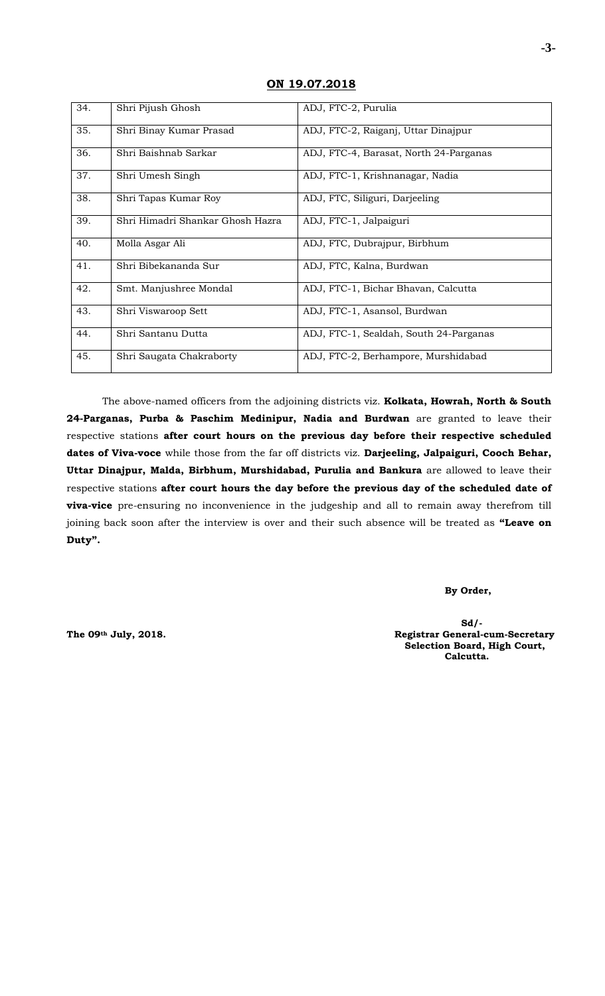| 34. | Shri Pijush Ghosh                | ADJ, FTC-2, Purulia                    |
|-----|----------------------------------|----------------------------------------|
| 35. | Shri Binay Kumar Prasad          | ADJ, FTC-2, Raiganj, Uttar Dinajpur    |
| 36. | Shri Baishnab Sarkar             | ADJ, FTC-4, Barasat, North 24-Parganas |
| 37. | Shri Umesh Singh                 | ADJ, FTC-1, Krishnanagar, Nadia        |
| 38. | Shri Tapas Kumar Roy             | ADJ, FTC, Siliguri, Darjeeling         |
| 39. | Shri Himadri Shankar Ghosh Hazra | ADJ, FTC-1, Jalpaiguri                 |
| 40. | Molla Asgar Ali                  | ADJ, FTC, Dubrajpur, Birbhum           |
| 41. | Shri Bibekananda Sur             | ADJ, FTC, Kalna, Burdwan               |
| 42. | Smt. Manjushree Mondal           | ADJ, FTC-1, Bichar Bhavan, Calcutta    |
| 43. | Shri Viswaroop Sett              | ADJ, FTC-1, Asansol, Burdwan           |
| 44. | Shri Santanu Dutta               | ADJ, FTC-1, Sealdah, South 24-Parganas |
| 45. | Shri Saugata Chakraborty         | ADJ, FTC-2, Berhampore, Murshidabad    |

### **ON 19.07.2018**

The above-named officers from the adjoining districts viz. **Kolkata, Howrah, North & South 24-Parganas, Purba & Paschim Medinipur, Nadia and Burdwan** are granted to leave their respective stations **after court hours on the previous day before their respective scheduled dates of Viva-voce** while those from the far off districts viz. **Darjeeling, Jalpaiguri, Cooch Behar, Uttar Dinajpur, Malda, Birbhum, Murshidabad, Purulia and Bankura** are allowed to leave their respective stations **after court hours the day before the previous day of the scheduled date of viva-vice** pre-ensuring no inconvenience in the judgeship and all to remain away therefrom till joining back soon after the interview is over and their such absence will be treated as **"Leave on Duty".**

#### **By Order,**

**Sd/- The 09th July, 2018. Registrar General-cum-Secretary Selection Board, High Court, Calcutta.**